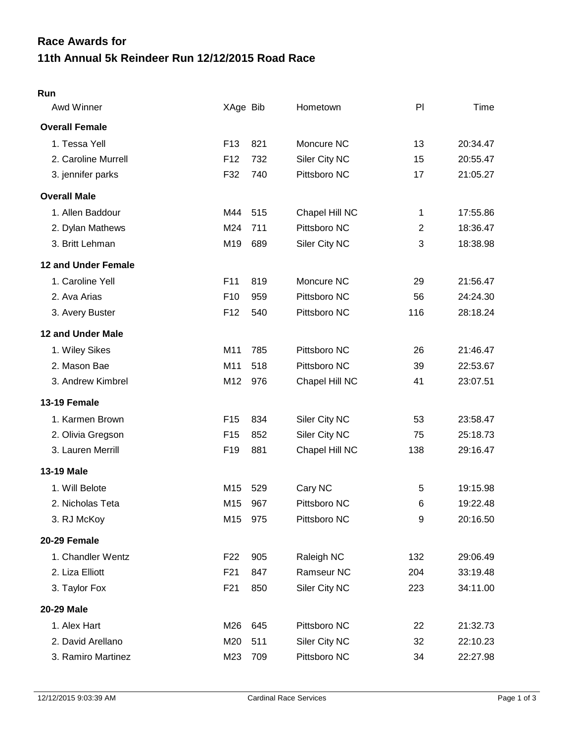## **11th Annual 5k Reindeer Run 12/12/2015 Road Race Race Awards for**

## **Run**

| Awd Winner                 | XAge Bib        |     | Hometown       | P <sub>1</sub> | Time     |
|----------------------------|-----------------|-----|----------------|----------------|----------|
| <b>Overall Female</b>      |                 |     |                |                |          |
| 1. Tessa Yell              | F <sub>13</sub> | 821 | Moncure NC     | 13             | 20:34.47 |
| 2. Caroline Murrell        | F <sub>12</sub> | 732 | Siler City NC  | 15             | 20:55.47 |
| 3. jennifer parks          | F32             | 740 | Pittsboro NC   | 17             | 21:05.27 |
| <b>Overall Male</b>        |                 |     |                |                |          |
| 1. Allen Baddour           | M44             | 515 | Chapel Hill NC | 1              | 17:55.86 |
| 2. Dylan Mathews           | M24             | 711 | Pittsboro NC   | $\overline{c}$ | 18:36.47 |
| 3. Britt Lehman            | M19             | 689 | Siler City NC  | 3              | 18:38.98 |
| <b>12 and Under Female</b> |                 |     |                |                |          |
| 1. Caroline Yell           | F11             | 819 | Moncure NC     | 29             | 21:56.47 |
| 2. Ava Arias               | F <sub>10</sub> | 959 | Pittsboro NC   | 56             | 24:24.30 |
| 3. Avery Buster            | F <sub>12</sub> | 540 | Pittsboro NC   | 116            | 28:18.24 |
| <b>12 and Under Male</b>   |                 |     |                |                |          |
| 1. Wiley Sikes             | M11             | 785 | Pittsboro NC   | 26             | 21:46.47 |
| 2. Mason Bae               | M11             | 518 | Pittsboro NC   | 39             | 22:53.67 |
| 3. Andrew Kimbrel          | M12             | 976 | Chapel Hill NC | 41             | 23:07.51 |
| 13-19 Female               |                 |     |                |                |          |
| 1. Karmen Brown            | F <sub>15</sub> | 834 | Siler City NC  | 53             | 23:58.47 |
| 2. Olivia Gregson          | F <sub>15</sub> | 852 | Siler City NC  | 75             | 25:18.73 |
| 3. Lauren Merrill          | F <sub>19</sub> | 881 | Chapel Hill NC | 138            | 29:16.47 |
| <b>13-19 Male</b>          |                 |     |                |                |          |
| 1. Will Belote             | M <sub>15</sub> | 529 | Cary NC        | 5              | 19:15.98 |
| 2. Nicholas Teta           | M15             | 967 | Pittsboro NC   | 6              | 19:22.48 |
| 3. RJ McKoy                | M15             | 975 | Pittsboro NC   | 9              | 20:16.50 |
| 20-29 Female               |                 |     |                |                |          |
| 1. Chandler Wentz          | F <sub>22</sub> | 905 | Raleigh NC     | 132            | 29:06.49 |
| 2. Liza Elliott            | F <sub>21</sub> | 847 | Ramseur NC     | 204            | 33:19.48 |
| 3. Taylor Fox              | F <sub>21</sub> | 850 | Siler City NC  | 223            | 34:11.00 |
| 20-29 Male                 |                 |     |                |                |          |
| 1. Alex Hart               | M26             | 645 | Pittsboro NC   | 22             | 21:32.73 |
| 2. David Arellano          | M20             | 511 | Siler City NC  | 32             | 22:10.23 |
| 3. Ramiro Martinez         | M23             | 709 | Pittsboro NC   | 34             | 22:27.98 |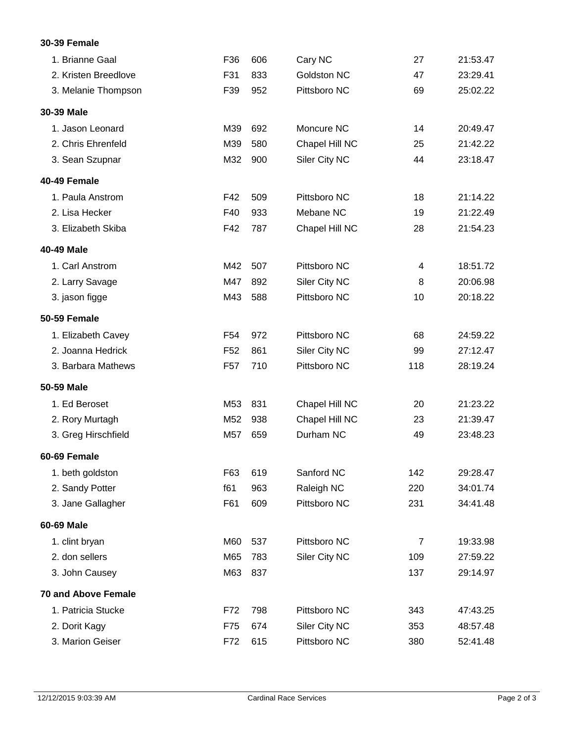## **30-39 Female**

| 1. Brianne Gaal            | F36             | 606 | Cary NC            | 27             | 21:53.47 |
|----------------------------|-----------------|-----|--------------------|----------------|----------|
| 2. Kristen Breedlove       | F31             | 833 | <b>Goldston NC</b> | 47             | 23:29.41 |
| 3. Melanie Thompson        | F39             | 952 | Pittsboro NC       | 69             | 25:02.22 |
| 30-39 Male                 |                 |     |                    |                |          |
| 1. Jason Leonard           | M39             | 692 | Moncure NC         | 14             | 20:49.47 |
| 2. Chris Ehrenfeld         | M39             | 580 | Chapel Hill NC     | 25             | 21:42.22 |
| 3. Sean Szupnar            | M32             | 900 | Siler City NC      | 44             | 23:18.47 |
| 40-49 Female               |                 |     |                    |                |          |
| 1. Paula Anstrom           | F42             | 509 | Pittsboro NC       | 18             | 21:14.22 |
| 2. Lisa Hecker             | F40             | 933 | Mebane NC          | 19             | 21:22.49 |
| 3. Elizabeth Skiba         | F42             | 787 | Chapel Hill NC     | 28             | 21:54.23 |
| 40-49 Male                 |                 |     |                    |                |          |
| 1. Carl Anstrom            | M42             | 507 | Pittsboro NC       | 4              | 18:51.72 |
| 2. Larry Savage            | M47             | 892 | Siler City NC      | 8              | 20:06.98 |
| 3. jason figge             | M43             | 588 | Pittsboro NC       | 10             | 20:18.22 |
| <b>50-59 Female</b>        |                 |     |                    |                |          |
| 1. Elizabeth Cavey         | F <sub>54</sub> | 972 | Pittsboro NC       | 68             | 24:59.22 |
| 2. Joanna Hedrick          | F <sub>52</sub> | 861 | Siler City NC      | 99             | 27:12.47 |
| 3. Barbara Mathews         | F <sub>57</sub> | 710 | Pittsboro NC       | 118            | 28:19.24 |
| 50-59 Male                 |                 |     |                    |                |          |
| 1. Ed Beroset              | M53             | 831 | Chapel Hill NC     | 20             | 21:23.22 |
| 2. Rory Murtagh            | M <sub>52</sub> | 938 | Chapel Hill NC     | 23             | 21:39.47 |
| 3. Greg Hirschfield        | M57             | 659 | Durham NC          | 49             | 23:48.23 |
| 60-69 Female               |                 |     |                    |                |          |
| 1. beth goldston           | F63             | 619 | Sanford NC         | 142            | 29:28.47 |
| 2. Sandy Potter            | f61             | 963 | Raleigh NC         | 220            | 34:01.74 |
| 3. Jane Gallagher          | F61             | 609 | Pittsboro NC       | 231            | 34:41.48 |
| 60-69 Male                 |                 |     |                    |                |          |
| 1. clint bryan             | M60             | 537 | Pittsboro NC       | $\overline{7}$ | 19:33.98 |
| 2. don sellers             | M65             | 783 | Siler City NC      | 109            | 27:59.22 |
| 3. John Causey             | M63             | 837 |                    | 137            | 29:14.97 |
| <b>70 and Above Female</b> |                 |     |                    |                |          |
| 1. Patricia Stucke         | F72             | 798 | Pittsboro NC       | 343            | 47:43.25 |
| 2. Dorit Kagy              | F75             | 674 | Siler City NC      | 353            | 48:57.48 |
| 3. Marion Geiser           | F72             | 615 | Pittsboro NC       | 380            | 52:41.48 |